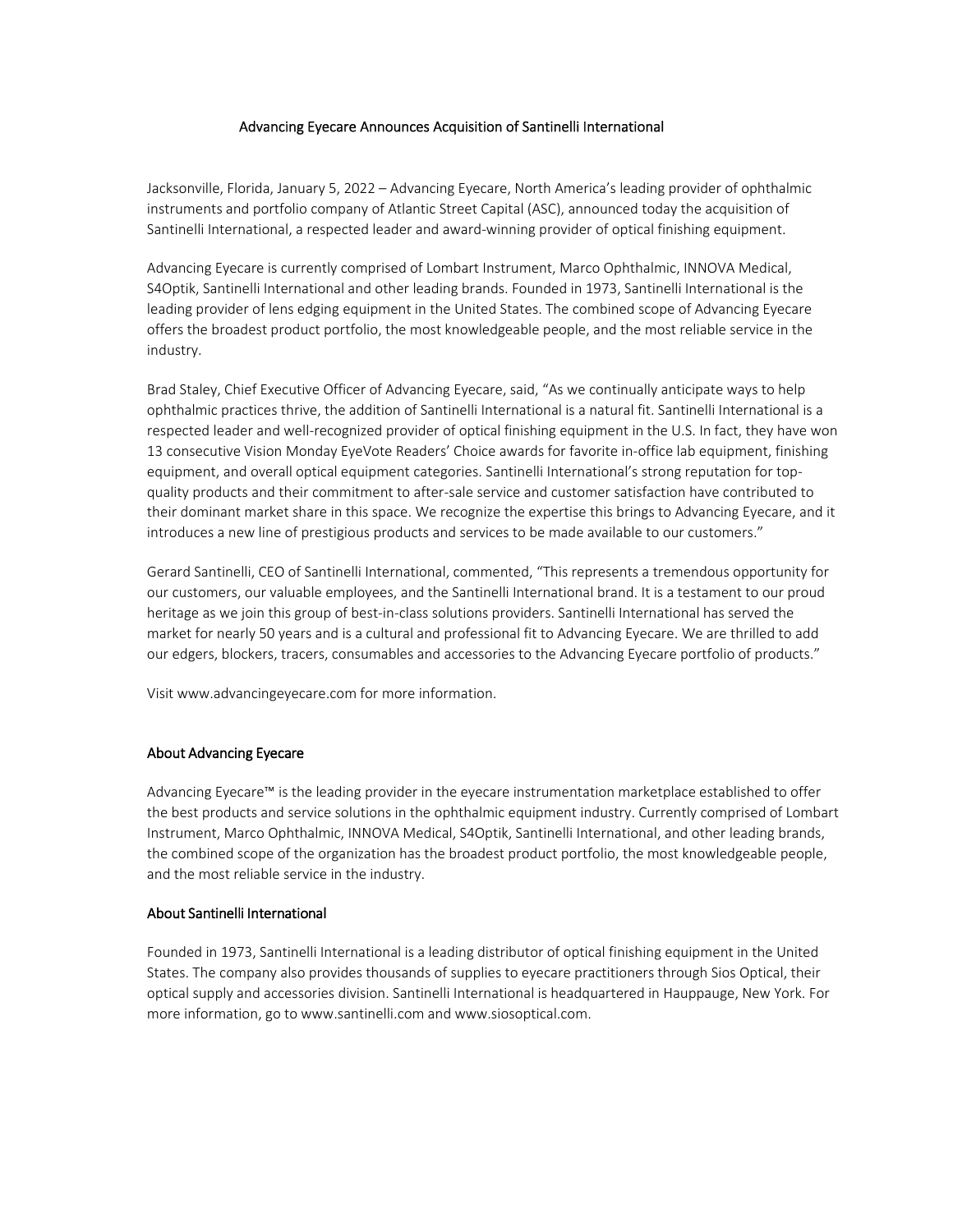## Advancing Eyecare Announces Acquisition of Santinelli International

Jacksonville, Florida, January 5, 2022 – Advancing Eyecare, North America's leading provider of ophthalmic instruments and portfolio company of Atlantic Street Capital (ASC), announced today the acquisition of Santinelli International, a respected leader and award‐winning provider of optical finishing equipment.

Advancing Eyecare is currently comprised of Lombart Instrument, Marco Ophthalmic, INNOVA Medical, S4Optik, Santinelli International and other leading brands. Founded in 1973, Santinelli International is the leading provider of lens edging equipment in the United States. The combined scope of Advancing Eyecare offers the broadest product portfolio, the most knowledgeable people, and the most reliable service in the industry.

Brad Staley, Chief Executive Officer of Advancing Eyecare, said, "As we continually anticipate ways to help ophthalmic practices thrive, the addition of Santinelli International is a natural fit. Santinelli International is a respected leader and well‐recognized provider of optical finishing equipment in the U.S. In fact, they have won 13 consecutive Vision Monday EyeVote Readers' Choice awards for favorite in-office lab equipment, finishing equipment, and overall optical equipment categories. Santinelli International's strong reputation for topquality products and their commitment to after‐sale service and customer satisfaction have contributed to their dominant market share in this space. We recognize the expertise this brings to Advancing Eyecare, and it introduces a new line of prestigious products and services to be made available to our customers."

Gerard Santinelli, CEO of Santinelli International, commented, "This represents a tremendous opportunity for our customers, our valuable employees, and the Santinelli International brand. It is a testament to our proud heritage as we join this group of best-in-class solutions providers. Santinelli International has served the market for nearly 50 years and is a cultural and professional fit to Advancing Eyecare. We are thrilled to add our edgers, blockers, tracers, consumables and accessories to the Advancing Eyecare portfolio of products."

Visit www.advancingeyecare.com for more information.

## About Advancing Eyecare

Advancing Eyecare™ is the leading provider in the eyecare instrumentation marketplace established to offer the best products and service solutions in the ophthalmic equipment industry. Currently comprised of Lombart Instrument, Marco Ophthalmic, INNOVA Medical, S4Optik, Santinelli International, and other leading brands, the combined scope of the organization has the broadest product portfolio, the most knowledgeable people, and the most reliable service in the industry.

## About Santinelli International

Founded in 1973, Santinelli International is a leading distributor of optical finishing equipment in the United States. The company also provides thousands of supplies to eyecare practitioners through Sios Optical, their optical supply and accessories division. Santinelli International is headquartered in Hauppauge, New York. For more information, go to www.santinelli.com and www.siosoptical.com.